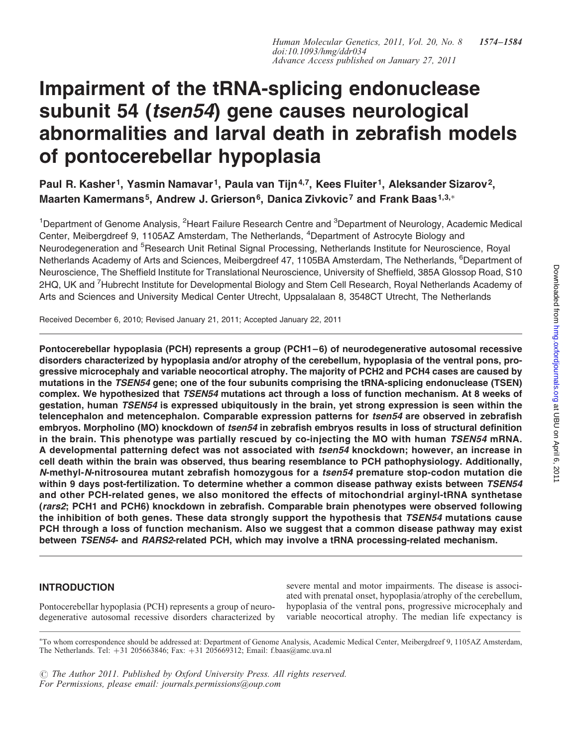# Impairment of the tRNA-splicing endonuclease subunit 54 (tsen54) gene causes neurological abnormalities and larval death in zebrafish models of pontocerebellar hypoplasia

Paul R. Kasher<sup>1</sup>, Yasmin Namavar<sup>1</sup>, Paula van Tijn<sup>4,7</sup>, Kees Fluiter<sup>1</sup>, Aleksander Sizarov<sup>2</sup>, Maarten Kamermans<sup>5</sup>, Andrew J. Grierson<sup>6</sup>, Danica Zivkovic<sup>7</sup> and Frank Baas<sup>1,3,∗</sup>

<sup>1</sup>Department of Genome Analysis, <sup>2</sup>Heart Failure Research Centre and <sup>3</sup>Department of Neurology, Academic Medical Center, Meibergdreef 9, 1105AZ Amsterdam, The Netherlands, <sup>4</sup>Department of Astrocyte Biology and Neurodegeneration and <sup>5</sup>Research Unit Retinal Signal Processing, Netherlands Institute for Neuroscience, Royal Netherlands Academy of Arts and Sciences, Meibergdreef 47, 1105BA Amsterdam, The Netherlands, <sup>6</sup>Department of Neuroscience, The Sheffield Institute for Translational Neuroscience, University of Sheffield, 385A Glossop Road, S10 2HQ, UK and <sup>7</sup>Hubrecht Institute for Developmental Biology and Stem Cell Research, Royal Netherlands Academy of Arts and Sciences and University Medical Center Utrecht, Uppsalalaan 8, 3548CT Utrecht, The Netherlands

Received December 6, 2010; Revised January 21, 2011; Accepted January 22, 2011

Pontocerebellar hypoplasia (PCH) represents a group (PCH1–6) of neurodegenerative autosomal recessive disorders characterized by hypoplasia and/or atrophy of the cerebellum, hypoplasia of the ventral pons, progressive microcephaly and variable neocortical atrophy. The majority of PCH2 and PCH4 cases are caused by mutations in the TSEN54 gene; one of the four subunits comprising the tRNA-splicing endonuclease (TSEN) complex. We hypothesized that TSEN54 mutations act through a loss of function mechanism. At 8 weeks of gestation, human TSEN54 is expressed ubiquitously in the brain, yet strong expression is seen within the telencephalon and metencephalon. Comparable expression patterns for tsen54 are observed in zebrafish embryos. Morpholino (MO) knockdown of tsen54 in zebrafish embryos results in loss of structural definition in the brain. This phenotype was partially rescued by co-injecting the MO with human TSEN54 mRNA. A developmental patterning defect was not associated with tsen54 knockdown; however, an increase in cell death within the brain was observed, thus bearing resemblance to PCH pathophysiology. Additionally, N-methyl-N-nitrosourea mutant zebrafish homozygous for a tsen54 premature stop-codon mutation die within 9 days post-fertilization. To determine whether a common disease pathway exists between TSEN54 and other PCH-related genes, we also monitored the effects of mitochondrial arginyl-tRNA synthetase (rars2; PCH1 and PCH6) knockdown in zebrafish. Comparable brain phenotypes were observed following the inhibition of both genes. These data strongly support the hypothesis that TSEN54 mutations cause PCH through a loss of function mechanism. Also we suggest that a common disease pathway may exist between TSEN54- and RARS2-related PCH, which may involve a tRNA processing-related mechanism.

## INTRODUCTION

Pontocerebellar hypoplasia (PCH) represents a group of neurodegenerative autosomal recessive disorders characterized by

severe mental and motor impairments. The disease is associated with prenatal onset, hypoplasia/atrophy of the cerebellum, hypoplasia of the ventral pons, progressive microcephaly and variable neocortical atrophy. The median life expectancy is

 $\odot$  The Author 2011. Published by Oxford University Press. All rights reserved. For Permissions, please email: journals.permissions@oup.com

<sup>∗</sup> To whom correspondence should be addressed at: Department of Genome Analysis, Academic Medical Center, Meibergdreef 9, 1105AZ Amsterdam, The Netherlands. Tel: +31 205663846; Fax: +31 205669312; Email: f.baas@amc.uva.nl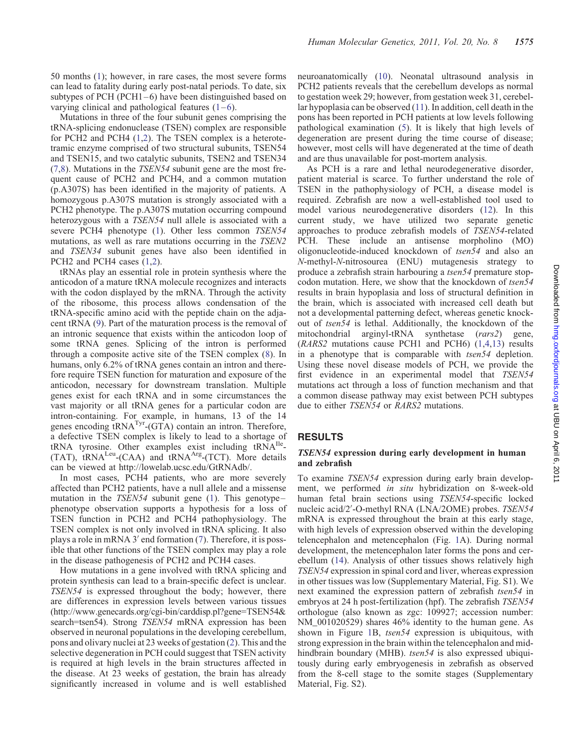50 months [\(1](#page-9-0)); however, in rare cases, the most severe forms can lead to fatality during early post-natal periods. To date, six subtypes of PCH (PCH1–6) have been distinguished based on varying clinical and pathological features  $(1-6)$  $(1-6)$  $(1-6)$  $(1-6)$ .

Mutations in three of the four subunit genes comprising the tRNA-splicing endonuclease (TSEN) complex are responsible for PCH2 and PCH4 ([1,2](#page-9-0)). The TSEN complex is a heterotetramic enzyme comprised of two structural subunits, TSEN54 and TSEN15, and two catalytic subunits, TSEN2 and TSEN34 [\(7](#page-9-0),[8\)](#page-9-0). Mutations in the TSEN54 subunit gene are the most frequent cause of PCH2 and PCH4, and a common mutation (p.A307S) has been identified in the majority of patients. A homozygous p.A307S mutation is strongly associated with a PCH2 phenotype. The p.A307S mutation occurring compound heterozygous with a TSEN54 null allele is associated with a severe PCH4 phenotype [\(1](#page-9-0)). Other less common TSEN54 mutations, as well as rare mutations occurring in the TSEN2 and TSEN34 subunit genes have also been identified in PCH<sub>2</sub> and PCH<sub>4</sub> cases [\(1](#page-9-0),[2\)](#page-9-0).

tRNAs play an essential role in protein synthesis where the anticodon of a mature tRNA molecule recognizes and interacts with the codon displayed by the mRNA. Through the activity of the ribosome, this process allows condensation of the tRNA-specific amino acid with the peptide chain on the adjacent tRNA ([9\)](#page-9-0). Part of the maturation process is the removal of an intronic sequence that exists within the anticodon loop of some tRNA genes. Splicing of the intron is performed through a composite active site of the TSEN complex [\(8](#page-9-0)). In humans, only 6.2% of tRNA genes contain an intron and therefore require TSEN function for maturation and exposure of the anticodon, necessary for downstream translation. Multiple genes exist for each tRNA and in some circumstances the vast majority or all tRNA genes for a particular codon are intron-containing. For example, in humans, 13 of the 14 genes encoding tRNA<sup>Tyr</sup>-(GTA) contain an intron. Therefore, a defective TSEN complex is likely to lead to a shortage of  $tRNA$  tyrosine. Other examples exist including  $tRNA^{Ile}$ - $(TAT)$ ,  $tRNA<sup>Leu</sup>-(CAA)$  and  $tRNA<sup>Arg</sup>-(TCT)$ . More details can be viewed at http://lowelab.ucsc.edu/GtRNAdb/.

In most cases, PCH4 patients, who are more severely affected than PCH2 patients, have a null allele and a missense mutation in the TSEN54 subunit gene ([1\)](#page-9-0). This genotypephenotype observation supports a hypothesis for a loss of TSEN function in PCH2 and PCH4 pathophysiology. The TSEN complex is not only involved in tRNA splicing. It also plays a role in mRNA 3′ end formation [\(7](#page-9-0)). Therefore, it is possible that other functions of the TSEN complex may play a role in the disease pathogenesis of PCH2 and PCH4 cases.

How mutations in a gene involved with tRNA splicing and protein synthesis can lead to a brain-specific defect is unclear. TSEN54 is expressed throughout the body; however, there are differences in expression levels between various tissues (http://www.genecards.org/cgi-bin/carddisp.pl?gene=TSEN54& search=tsen54). Strong TSEN54 mRNA expression has been observed in neuronal populations in the developing cerebellum, pons and olivary nuclei at 23 weeks of gestation ([2\)](#page-9-0). This and the selective degeneration in PCH could suggest that TSEN activity is required at high levels in the brain structures affected in the disease. At 23 weeks of gestation, the brain has already significantly increased in volume and is well established

neuroanatomically [\(10](#page-9-0)). Neonatal ultrasound analysis in PCH2 patients reveals that the cerebellum develops as normal to gestation week 29; however, from gestation week 31, cerebellar hypoplasia can be observed ([11\)](#page-9-0). In addition, cell death in the pons has been reported in PCH patients at low levels following pathological examination [\(5](#page-9-0)). It is likely that high levels of degeneration are present during the time course of disease; however, most cells will have degenerated at the time of death and are thus unavailable for post-mortem analysis.

As PCH is a rare and lethal neurodegenerative disorder, patient material is scarce. To further understand the role of TSEN in the pathophysiology of PCH, a disease model is required. Zebrafish are now a well-established tool used to model various neurodegenerative disorders ([12\)](#page-9-0). In this current study, we have utilized two separate genetic approaches to produce zebrafish models of TSEN54-related PCH. These include an antisense morpholino (MO) oligonucleotide-induced knockdown of tsen54 and also an N-methyl-N-nitrosourea (ENU) mutagenesis strategy to produce a zebrafish strain harbouring a tsen54 premature stopcodon mutation. Here, we show that the knockdown of tsen54 results in brain hypoplasia and loss of structural definition in the brain, which is associated with increased cell death but not a developmental patterning defect, whereas genetic knockout of tsen54 is lethal. Additionally, the knockdown of the mitochondrial arginyl-tRNA synthetase (rars2) gene, (RARS2 mutations cause PCH1 and PCH6) ([1,4](#page-9-0),[13\)](#page-9-0) results in a phenotype that is comparable with tsen54 depletion. Using these novel disease models of PCH, we provide the first evidence in an experimental model that TSEN54 mutations act through a loss of function mechanism and that a common disease pathway may exist between PCH subtypes due to either TSEN54 or RARS2 mutations.

#### RESULTS

#### TSEN54 expression during early development in human and zebrafish

To examine TSEN54 expression during early brain development, we performed in situ hybridization on 8-week-old human fetal brain sections using TSEN54-specific locked nucleic acid/2′ -O-methyl RNA (LNA/2OME) probes. TSEN54 mRNA is expressed throughout the brain at this early stage, with high levels of expression observed within the developing telencephalon and metencephalon (Fig. [1](#page-2-0)A). During normal development, the metencephalon later forms the pons and cerebellum [\(14](#page-9-0)). Analysis of other tissues shows relatively high TSEN54 expression in spinal cord and liver, whereas expression in other tissues was low ([Supplementary Material, Fig. S1](http://hmg.oxfordjournals.org/cgi/content/full/ddr034/DC1)). We next examined the expression pattern of zebrafish tsen54 in embryos at 24 h post-fertilization (hpf). The zebrafish TSEN54 orthologue (also known as zgc: 109927; accession number: NM 001020529) shares 46% identity to the human gene. As shown in Figure [1B](#page-2-0), tsen54 expression is ubiquitous, with strong expression in the brain within the telencephalon and midhindbrain boundary (MHB). tsen54 is also expressed ubiquitously during early embryogenesis in zebrafish as observed from the 8-cell stage to the somite stages [\(Supplementary](http://hmg.oxfordjournals.org/cgi/content/full/ddr034/DC1) [Material, Fig. S2\)](http://hmg.oxfordjournals.org/cgi/content/full/ddr034/DC1).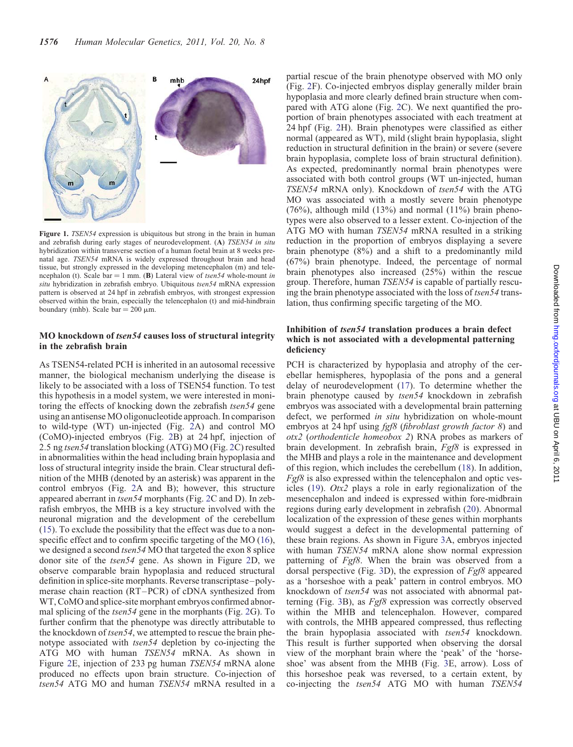<span id="page-2-0"></span>

Figure 1. TSEN54 expression is ubiquitous but strong in the brain in human and zebrafish during early stages of neurodevelopment. (A) TSEN54 in situ hybridization within transverse section of a human foetal brain at 8 weeks prenatal age. TSEN54 mRNA is widely expressed throughout brain and head tissue, but strongly expressed in the developing metencephalon (m) and telencephalon (t). Scale bar = 1 mm. (B) Lateral view of tsen54 whole-mount in situ hybridization in zebrafish embryo. Ubiquitous tsen54 mRNA expression pattern is observed at 24 hpf in zebrafish embryos, with strongest expression observed within the brain, especially the telencephalon (t) and mid-hindbrain boundary (mhb). Scale  $bar = 200 \mu m$ .

#### MO knockdown of tsen54 causes loss of structural integrity in the zebrafish brain

As TSEN54-related PCH is inherited in an autosomal recessive manner, the biological mechanism underlying the disease is likely to be associated with a loss of TSEN54 function. To test this hypothesis in a model system, we were interested in monitoring the effects of knocking down the zebrafish *tsen54* gene using an antisense MO oligonucleotide approach. In comparison to wild-type (WT) un-injected (Fig. [2A](#page-3-0)) and control MO (CoMO)-injected embryos (Fig. [2](#page-3-0)B) at 24 hpf, injection of 2.5 ng tsen54 translation blocking (ATG) MO (Fig. [2](#page-3-0)C) resulted in abnormalities within the head including brain hypoplasia and loss of structural integrity inside the brain. Clear structural definition of the MHB (denoted by an asterisk) was apparent in the control embryos (Fig. [2A](#page-3-0) and B); however, this structure appeared aberrant in tsen54 morphants (Fig. [2](#page-3-0)C and D). In zebrafish embryos, the MHB is a key structure involved with the neuronal migration and the development of the cerebellum [\(15](#page-9-0)). To exclude the possibility that the effect was due to a nonspecific effect and to confirm specific targeting of the MO [\(16](#page-9-0)), we designed a second *tsen54* MO that targeted the exon 8 splice donor site of the tsen54 gene. As shown in Figure [2](#page-3-0)D, we observe comparable brain hypoplasia and reduced structural definition in splice-site morphants. Reverse transcriptase–polymerase chain reaction (RT–PCR) of cDNA synthesized from WT, CoMO and splice-site morphant embryos confirmed abnormal splicing of the tsen54 gene in the morphants (Fig. [2](#page-3-0)G). To further confirm that the phenotype was directly attributable to the knockdown of *tsen54*, we attempted to rescue the brain phenotype associated with tsen54 depletion by co-injecting the ATG MO with human TSEN54 mRNA. As shown in Figure [2E](#page-3-0), injection of 233 pg human TSEN54 mRNA alone produced no effects upon brain structure. Co-injection of tsen54 ATG MO and human TSEN54 mRNA resulted in a

partial rescue of the brain phenotype observed with MO only (Fig. [2](#page-3-0)F). Co-injected embryos display generally milder brain hypoplasia and more clearly defined brain structure when compared with ATG alone (Fig. [2C](#page-3-0)). We next quantified the proportion of brain phenotypes associated with each treatment at 24 hpf (Fig. [2](#page-3-0)H). Brain phenotypes were classified as either normal (appeared as WT), mild (slight brain hypoplasia, slight reduction in structural definition in the brain) or severe (severe brain hypoplasia, complete loss of brain structural definition). As expected, predominantly normal brain phenotypes were associated with both control groups (WT un-injected, human TSEN54 mRNA only). Knockdown of tsen54 with the ATG MO was associated with a mostly severe brain phenotype  $(76%)$ , although mild  $(13%)$  and normal  $(11%)$  brain phenotypes were also observed to a lesser extent. Co-injection of the ATG MO with human *TSEN54* mRNA resulted in a striking reduction in the proportion of embryos displaying a severe brain phenotype (8%) and a shift to a predominantly mild (67%) brain phenotype. Indeed, the percentage of normal brain phenotypes also increased (25%) within the rescue group. Therefore, human TSEN54 is capable of partially rescuing the brain phenotype associated with the loss of tsen54 translation, thus confirming specific targeting of the MO.

## Inhibition of tsen54 translation produces a brain defect which is not associated with a developmental patterning deficiency

PCH is characterized by hypoplasia and atrophy of the cerebellar hemispheres, hypoplasia of the pons and a general delay of neurodevelopment ([17\)](#page-9-0). To determine whether the brain phenotype caused by tsen54 knockdown in zebrafish embryos was associated with a developmental brain patterning defect, we performed in situ hybridization on whole-mount embryos at 24 hpf using *fgf8* (*fibroblast growth factor 8*) and otx2 (orthodenticle homeobox 2) RNA probes as markers of brain development. In zebrafish brain, Fgf8 is expressed in the MHB and plays a role in the maintenance and development of this region, which includes the cerebellum [\(18](#page-9-0)). In addition,  $Fgf8$  is also expressed within the telencephalon and optic vesicles [\(19](#page-9-0)). Otx2 plays a role in early regionalization of the mesencephalon and indeed is expressed within fore-midbrain regions during early development in zebrafish ([20\)](#page-9-0). Abnormal localization of the expression of these genes within morphants would suggest a defect in the developmental patterning of these brain regions. As shown in Figure [3A](#page-4-0), embryos injected with human TSEN54 mRNA alone show normal expression patterning of Fgf8. When the brain was observed from a dorsal perspective (Fig. [3](#page-4-0)D), the expression of Fgf8 appeared as a 'horseshoe with a peak' pattern in control embryos. MO knockdown of tsen54 was not associated with abnormal patterning (Fig. [3B](#page-4-0)), as Fgf8 expression was correctly observed within the MHB and telencephalon. However, compared with controls, the MHB appeared compressed, thus reflecting the brain hypoplasia associated with tsen54 knockdown. This result is further supported when observing the dorsal view of the morphant brain where the 'peak' of the 'horseshoe' was absent from the MHB (Fig. [3](#page-4-0)E, arrow). Loss of this horseshoe peak was reversed, to a certain extent, by co-injecting the tsen54 ATG MO with human TSEN54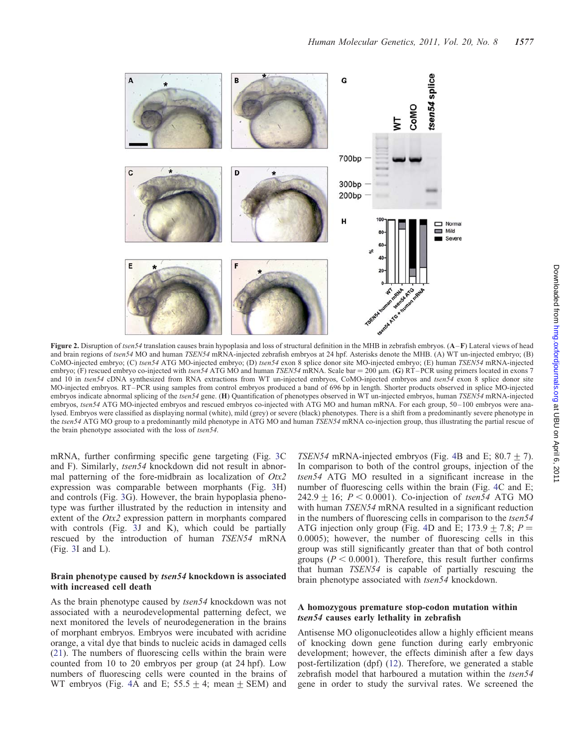<span id="page-3-0"></span>

Figure 2. Disruption of tsen54 translation causes brain hypoplasia and loss of structural definition in the MHB in zebrafish embryos. (A–F) Lateral views of head and brain regions of tsen54 MO and human TSEN54 mRNA-injected zebrafish embryos at 24 hpf. Asterisks denote the MHB. (A) WT un-injected embryo; (B) CoMO-injected embryo; (C) tsen54 ATG MO-injected embryo; (D) tsen54 exon 8 splice donor site MO-injected embryo; (E) human TSEN54 mRNA-injected embryo; (F) rescued embryo co-injected with tsen54 ATG MO and human TSEN54 mRNA. Scale bar = 200  $\mu$ m. (G) RT–PCR using primers located in exons 7 and 10 in tsen54 cDNA synthesized from RNA extractions from WT un-injected embryos, CoMO-injected embryos and tsen54 exon 8 splice donor site MO-injected embryos. RT–PCR using samples from control embryos produced a band of 696 bp in length. Shorter products observed in splice MO-injected embryos indicate abnormal splicing of the tsen54 gene. (H) Quantification of phenotypes observed in WT un-injected embryos, human TSEN54 mRNA-injected embryos, tsen54 ATG MO-injected embryos and rescued embryos co-injected with ATG MO and human mRNA. For each group, 50-100 embryos were analysed. Embryos were classified as displaying normal (white), mild (grey) or severe (black) phenotypes. There is a shift from a predominantly severe phenotype in the tsen54 ATG MO group to a predominantly mild phenotype in ATG MO and human TSEN54 mRNA co-injection group, thus illustrating the partial rescue of the brain phenotype associated with the loss of tsen54.

mRNA, further confirming specific gene targeting (Fig. [3](#page-4-0)C and F). Similarly, tsen54 knockdown did not result in abnormal patterning of the fore-midbrain as localization of  $Otx2$ expression was comparable between morphants (Fig. [3](#page-4-0)H) and controls (Fig. [3](#page-4-0)G). However, the brain hypoplasia phenotype was further illustrated by the reduction in intensity and extent of the *Otx2* expression pattern in morphants compared with controls (Fig. [3](#page-4-0)J and K), which could be partially rescued by the introduction of human TSEN54 mRNA (Fig. [3I](#page-4-0) and L).

#### Brain phenotype caused by tsen54 knockdown is associated with increased cell death

As the brain phenotype caused by tsen54 knockdown was not associated with a neurodevelopmental patterning defect, we next monitored the levels of neurodegeneration in the brains of morphant embryos. Embryos were incubated with acridine orange, a vital dye that binds to nucleic acids in damaged cells [\(21](#page-10-0)). The numbers of fluorescing cells within the brain were counted from 10 to 20 embryos per group (at 24 hpf). Low numbers of fluorescing cells were counted in the brains of WT embryos (Fig. [4A](#page-4-0) and E;  $55.5 \pm 4$ ; mean  $\pm$  SEM) and

TSEN5[4](#page-4-0) mRNA-injected embryos (Fig. 4B and E;  $80.7 \pm 7$ ). In comparison to both of the control groups, injection of the tsen54 ATG MO resulted in a significant increase in the number of fluorescing cells within the brain (Fig. [4](#page-4-0)C and E; 242.9  $\pm$  16; P < 0.0001). Co-injection of tsen54 ATG MO with human *TSEN54* mRNA resulted in a significant reduction in the numbers of fluorescing cells in comparison to the tsen54 ATG injection only group (Fig. [4](#page-4-0)D and E; 173.9  $\pm$  7.8; P = 0.0005); however, the number of fluorescing cells in this group was still significantly greater than that of both control groups ( $P < 0.0001$ ). Therefore, this result further confirms that human TSEN54 is capable of partially rescuing the brain phenotype associated with tsen54 knockdown.

#### A homozygous premature stop-codon mutation within tsen54 causes early lethality in zebrafish

Antisense MO oligonucleotides allow a highly efficient means of knocking down gene function during early embryonic development; however, the effects diminish after a few days post-fertilization (dpf) ([12\)](#page-9-0). Therefore, we generated a stable zebrafish model that harboured a mutation within the tsen54 gene in order to study the survival rates. We screened the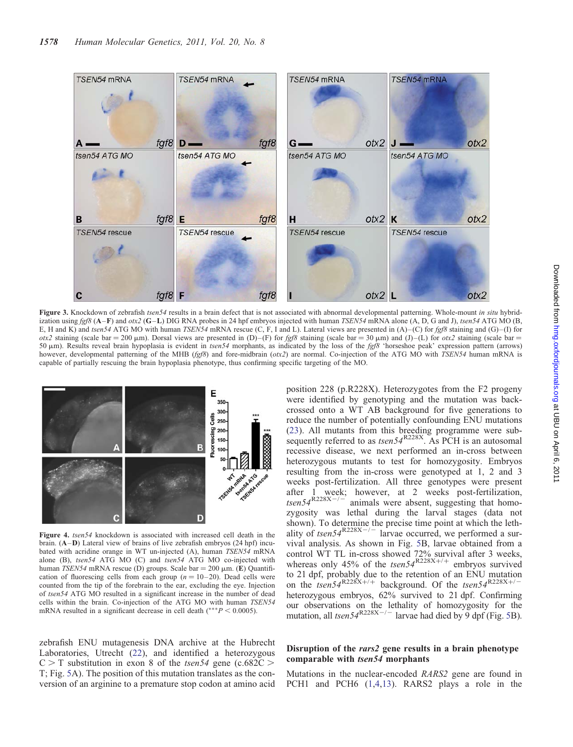<span id="page-4-0"></span>

Figure 3. Knockdown of zebrafish tsen54 results in a brain defect that is not associated with abnormal developmental patterning. Whole-mount in situ hybridization using  $fg/8$  (A–F) and otx2 (G–L) DIG RNA probes in 24 hpf embryos injected with human TSEN54 mRNA alone (A, D, G and J), tsen54 ATG MO (B, E, H and K) and tsen54 ATG MO with human TSEN54 mRNA rescue (C, F, I and L). Lateral views are presented in (A)–(C) for fgf8 staining and (G)–(I) for otx2 staining (scale bar = 200  $\mu$ m). Dorsal views are presented in (D)–(F) for fgf8 staining (scale bar = 30  $\mu$ m) and (J)–(L) for otx2 staining (scale bar = 50 mm). Results reveal brain hypoplasia is evident in tsen54 morphants, as indicated by the loss of the fgf8 'horseshoe peak' expression pattern (arrows) however, developmental patterning of the MHB (fgf8) and fore-midbrain (otx2) are normal. Co-injection of the ATG MO with TSEN54 human mRNA is capable of partially rescuing the brain hypoplasia phenotype, thus confirming specific targeting of the MO.



Figure 4. tsen54 knockdown is associated with increased cell death in the brain. (A–D) Lateral view of brains of live zebrafish embryos (24 hpf) incubated with acridine orange in WT un-injected (A), human TSEN54 mRNA alone (B), tsen54 ATG MO (C) and tsen54 ATG MO co-injected with human TSEN54 mRNA rescue (D) groups. Scale bar = 200  $\mu$ m. (E) Quantification of fluorescing cells from each group  $(n = 10-20)$ . Dead cells were counted from the tip of the forebrain to the ear, excluding the eye. Injection of tsen54 ATG MO resulted in a significant increase in the number of dead cells within the brain. Co-injection of the ATG MO with human TSEN54 mRNA resulted in a significant decrease in cell death (\*\*\* $P < 0.0005$ ).

were identified by genotyping and the mutation was backcrossed onto a WT AB background for five generations to reduce the number of potentially confounding ENU mutations [\(23](#page-10-0)). All mutants from this breeding programme were subsequently referred to as  $tsen54^{R228X}$ . As PCH is an autosomal recessive disease, we next performed an in-cross between heterozygous mutants to test for homozygosity. Embryos resulting from the in-cross were genotyped at 1, 2 and 3 weeks post-fertilization. All three genotypes were present after 1 week; however, at 2 weeks post-fertilization,  $tsen54^{R228X-/-}$  animals were absent, suggesting that homozygosity was lethal during the larval stages (data not shown). To determine the precise time point at which the lethality of tsen54<sup>R228X-/-</sup> larvae occurred, we performed a survival analysis. As shown in Fig. [5](#page-5-0)B, larvae obtained from a control WT TL in-cross showed 72% survival after 3 weeks, whereas only 45% of the  $tsen54^{R228X+/+}$  embryos survived to 21 dpf, probably due to the retention of an ENU mutation on the tsen54<sup>R228X+/+</sup> background. Of the tsen54<sup>R228X+/-</sup> heterozygous embryos, 62% survived to 21 dpf. Confirming our observations on the lethality of homozygosity for the mutation, all  $tsen54^{R228X-/-}$  larvae had died by 9 dpf (Fig. [5B](#page-5-0)).

position 228 (p.R228X). Heterozygotes from the F2 progeny

#### zebrafish ENU mutagenesis DNA archive at the Hubrecht Laboratories, Utrecht ([22\)](#page-10-0), and identified a heterozygous  $C > T$  substitution in exon 8 of the *tsen54* gene (c.682 $C >$ T; Fig. [5A](#page-5-0)). The position of this mutation translates as the conversion of an arginine to a premature stop codon at amino acid

#### Disruption of the rars2 gene results in a brain phenotype comparable with tsen54 morphants

Mutations in the nuclear-encoded RARS2 gene are found in PCH1 and PCH6 [\(1](#page-9-0),[4,13](#page-9-0)). RARS2 plays a role in the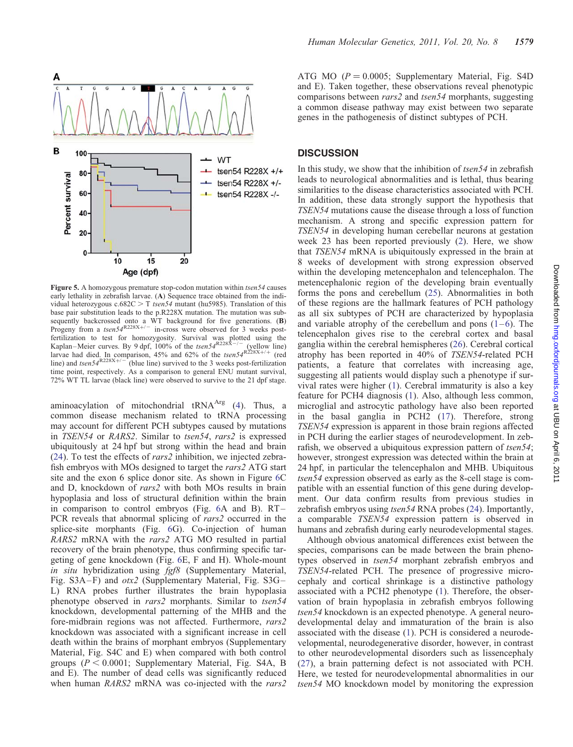<span id="page-5-0"></span>

Figure 5. A homozygous premature stop-codon mutation within tsen54 causes early lethality in zebrafish larvae. (A) Sequence trace obtained from the individual heterozygous  $c.682C > T$  tsen54 mutant (hu5985). Translation of this base pair substitution leads to the p.R228X mutation. The mutation was subsequently backcrossed onto a WT background for five generations. (B)<br>Progeny from a  $tsen54^{R228X+/-}$  in-cross were observed for 3 weeks postfertilization to test for homozygosity. Survival was plotted using the Kaplan–Meier curves. By 9 dpf, 100% of the  $tsen54^{R228X-/-}$  (yellow line) Kaplan–Meier curves. By 9 dpf,  $100\%$  of the  $tsen54^{R228\text{\AA}}$  (yellow line) larvae had died. In comparison, 45% and 62% of the  $tsen54^{R228X+/+}$  (red line) and tsen54<sup>R228X+/-</sup> (blue line) survived to the 3 weeks post-fertilization time point, respectively. As a comparison to general ENU mutant survival, 72% WT TL larvae (black line) were observed to survive to the 21 dpf stage.

aminoacylation of mitochondrial  $tRNA<sup>Arg</sup>$  ([4\)](#page-9-0). Thus, a common disease mechanism related to tRNA processing may account for different PCH subtypes caused by mutations in TSEN54 or RARS2. Similar to tsen54, rars2 is expressed ubiquitously at 24 hpf but strong within the head and brain [\(24](#page-10-0)). To test the effects of rars2 inhibition, we injected zebrafish embryos with MOs designed to target the rars2 ATG start site and the exon 6 splice donor site. As shown in Figure [6](#page-6-0)C and D, knockdown of rars2 with both MOs results in brain hypoplasia and loss of structural definition within the brain in comparison to control embryos (Fig. [6A](#page-6-0) and B). RT– PCR reveals that abnormal splicing of rars2 occurred in the splice-site morphants (Fig. [6](#page-6-0)G). Co-injection of human RARS2 mRNA with the rars2 ATG MO resulted in partial recovery of the brain phenotype, thus confirming specific targeting of gene knockdown (Fig. [6E](#page-6-0), F and H). Whole-mount in situ hybridization using fgf8 [\(Supplementary Material,](http://hmg.oxfordjournals.org/cgi/content/full/ddr034/DC1) [Fig. S3A–F](http://hmg.oxfordjournals.org/cgi/content/full/ddr034/DC1)) and otx2 [\(Supplementary Material, Fig. S3G–](http://hmg.oxfordjournals.org/cgi/content/full/ddr034/DC1) [L](http://hmg.oxfordjournals.org/cgi/content/full/ddr034/DC1)) RNA probes further illustrates the brain hypoplasia phenotype observed in rars2 morphants. Similar to tsen54 knockdown, developmental patterning of the MHB and the fore-midbrain regions was not affected. Furthermore, rars2 knockdown was associated with a significant increase in cell death within the brains of morphant embryos [\(Supplementary](http://hmg.oxfordjournals.org/cgi/content/full/ddr034/DC1) [Material, Fig. S4C and E\)](http://hmg.oxfordjournals.org/cgi/content/full/ddr034/DC1) when compared with both control groups ( $P < 0.0001$ ; [Supplementary Material, Fig. S4A, B](http://hmg.oxfordjournals.org/cgi/content/full/ddr034/DC1) [and E\)](http://hmg.oxfordjournals.org/cgi/content/full/ddr034/DC1). The number of dead cells was significantly reduced when human RARS2 mRNA was co-injected with the rars2 ATG MO ( $P = 0.0005$ ; [Supplementary Material, Fig. S4D](http://hmg.oxfordjournals.org/cgi/content/full/ddr034/DC1) [and E](http://hmg.oxfordjournals.org/cgi/content/full/ddr034/DC1)). Taken together, these observations reveal phenotypic comparisons between rars2 and tsen54 morphants, suggesting a common disease pathway may exist between two separate genes in the pathogenesis of distinct subtypes of PCH.

## **DISCUSSION**

In this study, we show that the inhibition of  $t \sin 54$  in zebrafish leads to neurological abnormalities and is lethal, thus bearing similarities to the disease characteristics associated with PCH. In addition, these data strongly support the hypothesis that TSEN54 mutations cause the disease through a loss of function mechanism. A strong and specific expression pattern for TSEN54 in developing human cerebellar neurons at gestation week 23 has been reported previously ([2\)](#page-9-0). Here, we show that TSEN54 mRNA is ubiquitously expressed in the brain at 8 weeks of development with strong expression observed within the developing metencephalon and telencephalon. The metencephalonic region of the developing brain eventually forms the pons and cerebellum ([25\)](#page-10-0). Abnormalities in both of these regions are the hallmark features of PCH pathology as all six subtypes of PCH are characterized by hypoplasia and variable atrophy of the cerebellum and pons  $(1-6)$  $(1-6)$  $(1-6)$  $(1-6)$ . The telencephalon gives rise to the cerebral cortex and basal ganglia within the cerebral hemispheres [\(26](#page-10-0)). Cerebral cortical atrophy has been reported in 40% of TSEN54-related PCH patients, a feature that correlates with increasing age, suggesting all patients would display such a phenotype if survival rates were higher ([1\)](#page-9-0). Cerebral immaturity is also a key feature for PCH4 diagnosis ([1\)](#page-9-0). Also, although less common, microglial and astrocytic pathology have also been reported in the basal ganglia in PCH2 [\(17](#page-9-0)). Therefore, strong TSEN54 expression is apparent in those brain regions affected in PCH during the earlier stages of neurodevelopment. In zebrafish, we observed a ubiquitous expression pattern of tsen54; however, strongest expression was detected within the brain at 24 hpf, in particular the telencephalon and MHB. Ubiquitous tsen54 expression observed as early as the 8-cell stage is compatible with an essential function of this gene during development. Our data confirm results from previous studies in zebrafish embryos using tsen54 RNA probes ([24\)](#page-10-0). Importantly, a comparable TSEN54 expression pattern is observed in humans and zebrafish during early neurodevelopmental stages.

Although obvious anatomical differences exist between the species, comparisons can be made between the brain phenotypes observed in tsen54 morphant zebrafish embryos and TSEN54-related PCH. The presence of progressive microcephaly and cortical shrinkage is a distinctive pathology associated with a PCH2 phenotype [\(1](#page-9-0)). Therefore, the observation of brain hypoplasia in zebrafish embryos following tsen54 knockdown is an expected phenotype. A general neurodevelopmental delay and immaturation of the brain is also associated with the disease [\(1](#page-9-0)). PCH is considered a neurodevelopmental, neurodegenerative disorder, however, in contrast to other neurodevelopmental disorders such as lissencephaly [\(27](#page-10-0)), a brain patterning defect is not associated with PCH. Here, we tested for neurodevelopmental abnormalities in our tsen54 MO knockdown model by monitoring the expression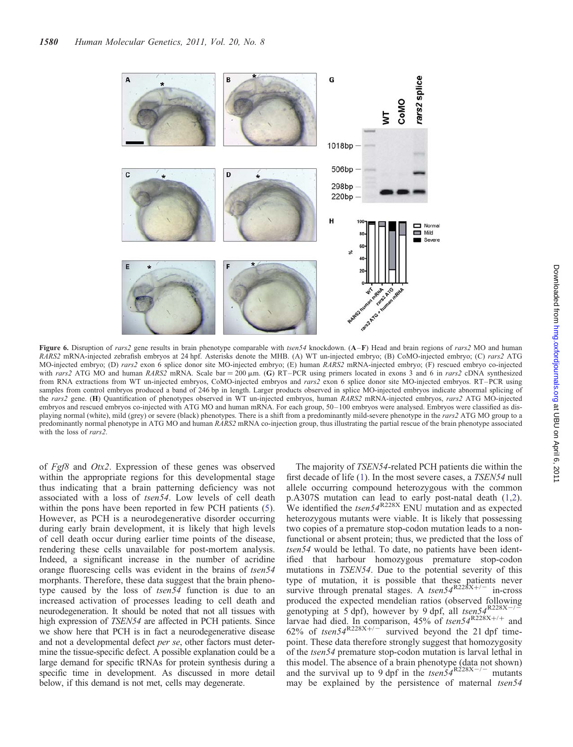<span id="page-6-0"></span>

Figure 6. Disruption of rars2 gene results in brain phenotype comparable with tsen54 knockdown. (A–F) Head and brain regions of rars2 MO and human RARS2 mRNA-injected zebrafish embryos at 24 hpf. Asterisks denote the MHB. (A) WT un-injected embryo; (B) CoMO-injected embryo; (C) rars2 ATG MO-injected embryo; (D) rars2 exon 6 splice donor site MO-injected embryo; (E) human RARS2 mRNA-injected embryo; (F) rescued embryo co-injected with rars2 ATG MO and human RARS2 mRNA. Scale bar = 200 µm. (G) RT–PCR using primers located in exons 3 and 6 in rars2 cDNA synthesized from RNA extractions from WT un-injected embryos, CoMO-injected embryos and rars2 exon 6 splice donor site MO-injected embryos. RT–PCR using samples from control embryos produced a band of 246 bp in length. Larger products observed in splice MO-injected embryos indicate abnormal splicing of the rars2 gene. (H) Quantification of phenotypes observed in WT un-injected embryos, human RARS2 mRNA-injected embryos, rars2 ATG MO-injected embryos and rescued embryos co-injected with ATG MO and human mRNA. For each group, 50–100 embryos were analysed. Embryos were classified as displaying normal (white), mild (grey) or severe (black) phenotypes. There is a shift from a predominantly mild-severe phenotype in the rars2 ATG MO group to a predominantly normal phenotype in ATG MO and human RARS2 mRNA co-injection group, thus illustrating the partial rescue of the brain phenotype associated with the loss of rars2.

of Fgf8 and Otx2. Expression of these genes was observed within the appropriate regions for this developmental stage thus indicating that a brain patterning deficiency was not associated with a loss of tsen54. Low levels of cell death within the pons have been reported in few PCH patients [\(5](#page-9-0)). However, as PCH is a neurodegenerative disorder occurring during early brain development, it is likely that high levels of cell death occur during earlier time points of the disease, rendering these cells unavailable for post-mortem analysis. Indeed, a significant increase in the number of acridine orange fluorescing cells was evident in the brains of tsen54 morphants. Therefore, these data suggest that the brain phenotype caused by the loss of tsen54 function is due to an increased activation of processes leading to cell death and neurodegeneration. It should be noted that not all tissues with high expression of *TSEN54* are affected in PCH patients. Since we show here that PCH is in fact a neurodegenerative disease and not a developmental defect per se, other factors must determine the tissue-specific defect. A possible explanation could be a large demand for specific tRNAs for protein synthesis during a specific time in development. As discussed in more detail below, if this demand is not met, cells may degenerate.

The majority of TSEN54-related PCH patients die within the first decade of life [\(1](#page-9-0)). In the most severe cases, a TSEN54 null allele occurring compound heterozygous with the common p.A307S mutation can lead to early post-natal death ([1,2](#page-9-0)). We identified the  $tsen54^{R228X}$  ENU mutation and as expected heterozygous mutants were viable. It is likely that possessing two copies of a premature stop-codon mutation leads to a nonfunctional or absent protein; thus, we predicted that the loss of tsen54 would be lethal. To date, no patients have been identified that harbour homozygous premature stop-codon mutations in TSEN54. Due to the potential severity of this type of mutation, it is possible that these patients never survive through prenatal stages. A  $t \text{sen} 54^{R228X+/-}$  in-cross produced the expected mendelian ratios (observed following genotyping at  $5$  dpf), however by 9 dpf, all tsen $54^{R228X-/-}$ larvae had died. In comparison, 45% of  $t \text{sen} 54^{R228X+/+}$  and 62% of tsen54<sup>R228X+/-1</sup> survived beyond the 21 dpf timepoint. These data therefore strongly suggest that homozygosity of the tsen54 premature stop-codon mutation is larval lethal in this model. The absence of a brain phenotype (data not shown) and the survival up to 9 dpf in the  $tsen54^{R228X-/-}$  mutants may be explained by the persistence of maternal tsen54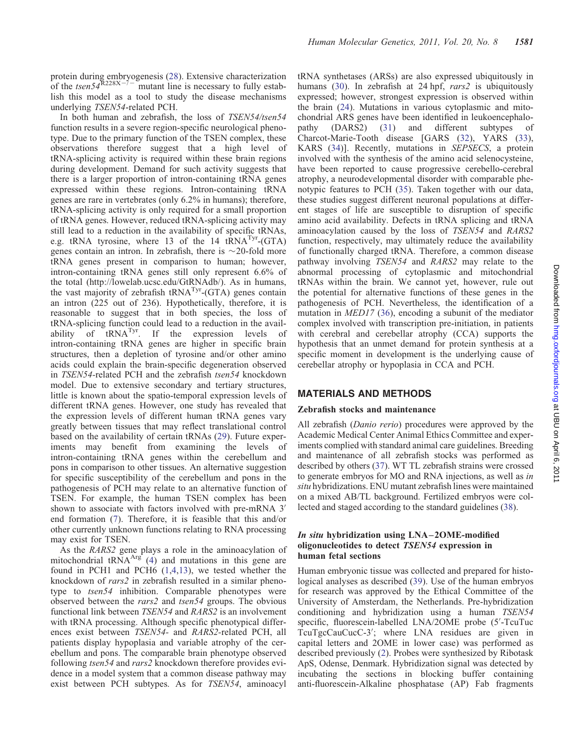protein during embryogenesis ([28\)](#page-10-0). Extensive characterization of the tsen54 $R228X^{-7}$  mutant line is necessary to fully establish this model as a tool to study the disease mechanisms underlying TSEN54-related PCH.

In both human and zebrafish, the loss of TSEN54/tsen54 function results in a severe region-specific neurological phenotype. Due to the primary function of the TSEN complex, these observations therefore suggest that a high level of tRNA-splicing activity is required within these brain regions during development. Demand for such activity suggests that there is a larger proportion of intron-containing tRNA genes expressed within these regions. Intron-containing tRNA genes are rare in vertebrates (only 6.2% in humans); therefore, tRNA-splicing activity is only required for a small proportion of tRNA genes. However, reduced tRNA-splicing activity may still lead to a reduction in the availability of specific tRNAs, e.g. tRNA tyrosine, where 13 of the 14 tRNA<sup>Tyr</sup>-(GTA) genes contain an intron. In zebrafish, there is  $\sim$ 20-fold more tRNA genes present in comparison to human; however, intron-containing tRNA genes still only represent 6.6% of the total (http://lowelab.ucsc.edu/GtRNAdb/). As in humans, the vast majority of zebrafish  $tRNA<sup>Tyr</sup>$ -(GTA) genes contain an intron (225 out of 236). Hypothetically, therefore, it is reasonable to suggest that in both species, the loss of tRNA-splicing function could lead to a reduction in the availability of tRNA<sup>Tyr</sup>. If the expression levels of intron-containing tRNA genes are higher in specific brain structures, then a depletion of tyrosine and/or other amino acids could explain the brain-specific degeneration observed in TSEN54-related PCH and the zebrafish tsen54 knockdown model. Due to extensive secondary and tertiary structures, little is known about the spatio-temporal expression levels of different tRNA genes. However, one study has revealed that the expression levels of different human tRNA genes vary greatly between tissues that may reflect translational control based on the availability of certain tRNAs [\(29](#page-10-0)). Future experiments may benefit from examining the levels of intron-containing tRNA genes within the cerebellum and pons in comparison to other tissues. An alternative suggestion for specific susceptibility of the cerebellum and pons in the pathogenesis of PCH may relate to an alternative function of TSEN. For example, the human TSEN complex has been shown to associate with factors involved with pre-mRNA 3' end formation ([7\)](#page-9-0). Therefore, it is feasible that this and/or other currently unknown functions relating to RNA processing may exist for TSEN.

As the RARS2 gene plays a role in the aminoacylation of mitochondrial  $tRNA<sup>Arg</sup>$  [\(4](#page-9-0)) and mutations in this gene are found in PCH1 and PCH6 [\(1](#page-9-0),[4,13](#page-9-0)), we tested whether the knockdown of rars2 in zebrafish resulted in a similar phenotype to *tsen54* inhibition. Comparable phenotypes were observed between the rars2 and tsen54 groups. The obvious functional link between TSEN54 and RARS2 is an involvement with tRNA processing. Although specific phenotypical differences exist between TSEN54- and RARS2-related PCH, all patients display hypoplasia and variable atrophy of the cerebellum and pons. The comparable brain phenotype observed following tsen54 and rars2 knockdown therefore provides evidence in a model system that a common disease pathway may exist between PCH subtypes. As for TSEN54, aminoacyl

tRNA synthetases (ARSs) are also expressed ubiquitously in humans ([30\)](#page-10-0). In zebrafish at 24 hpf, rars2 is ubiquitously expressed; however, strongest expression is observed within the brain ([24\)](#page-10-0). Mutations in various cytoplasmic and mitochondrial ARS genes have been identified in leukoencephalopathy (DARS2) [\(31](#page-10-0)) and different subtypes of Charcot-Marie-Tooth disease [GARS ([32\)](#page-10-0), YARS [\(33](#page-10-0)), KARS ([34\)](#page-10-0)]. Recently, mutations in SEPSECS, a protein involved with the synthesis of the amino acid selenocysteine, have been reported to cause progressive cerebello-cerebral atrophy, a neurodevelopmental disorder with comparable phenotypic features to PCH [\(35](#page-10-0)). Taken together with our data, these studies suggest different neuronal populations at different stages of life are susceptible to disruption of specific amino acid availability. Defects in tRNA splicing and tRNA aminoacylation caused by the loss of TSEN54 and RARS2 function, respectively, may ultimately reduce the availability of functionally charged tRNA. Therefore, a common disease pathway involving TSEN54 and RARS2 may relate to the abnormal processing of cytoplasmic and mitochondrial tRNAs within the brain. We cannot yet, however, rule out the potential for alternative functions of these genes in the pathogenesis of PCH. Nevertheless, the identification of a mutation in MED17 ([36\)](#page-10-0), encoding a subunit of the mediator complex involved with transcription pre-initiation, in patients with cerebral and cerebellar atrophy (CCA) supports the hypothesis that an unmet demand for protein synthesis at a specific moment in development is the underlying cause of cerebellar atrophy or hypoplasia in CCA and PCH.

## MATERIALS AND METHODS

#### Zebrafish stocks and maintenance

All zebrafish (Danio rerio) procedures were approved by the Academic Medical Center Animal Ethics Committee and experiments complied with standard animal care guidelines. Breeding and maintenance of all zebrafish stocks was performed as described by others ([37\)](#page-10-0). WT TL zebrafish strains were crossed to generate embryos for MO and RNA injections, as well as in situ hybridizations. ENU mutant zebrafish lines were maintained on a mixed AB/TL background. Fertilized embryos were collected and staged according to the standard guidelines [\(38](#page-10-0)).

#### In situ hybridization using LNA – 2OME-modified oligonucleotides to detect TSEN54 expression in human fetal sections

Human embryonic tissue was collected and prepared for histological analyses as described [\(39](#page-10-0)). Use of the human embryos for research was approved by the Ethical Committee of the University of Amsterdam, the Netherlands. Pre-hybridization conditioning and hybridization using a human TSEN54 specific, fluorescein-labelled LNA/2OME probe (5′ -TcuTuc TcuTgcCauCucC-3′ ; where LNA residues are given in capital letters and 2OME in lower case) was performed as described previously [\(2](#page-9-0)). Probes were synthesized by Ribotask ApS, Odense, Denmark. Hybridization signal was detected by incubating the sections in blocking buffer containing anti-fluorescein-Alkaline phosphatase (AP) Fab fragments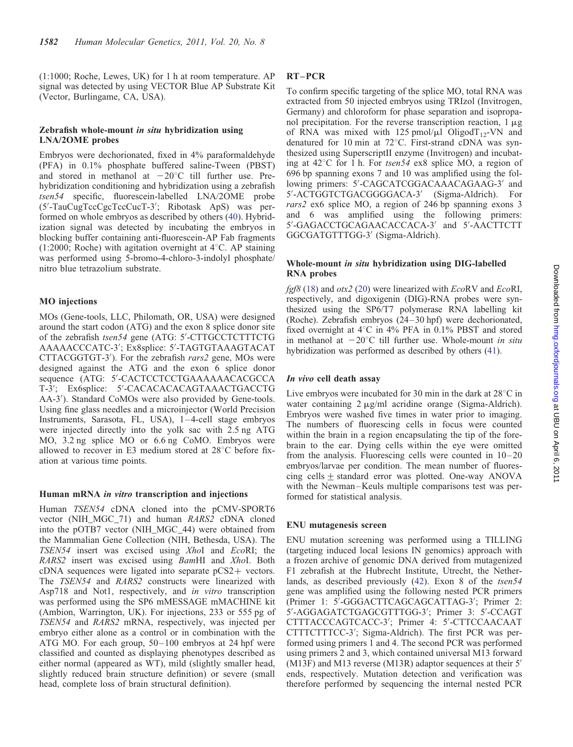(1:1000; Roche, Lewes, UK) for 1 h at room temperature. AP signal was detected by using VECTOR Blue AP Substrate Kit (Vector, Burlingame, CA, USA).

#### Zebrafish whole-mount in situ hybridization using LNA/2OME probes

Embryos were dechorionated, fixed in 4% paraformaldehyde (PFA) in 0.1% phosphate buffered saline-Tween (PBST) and stored in methanol at  $-20^{\circ}$ C till further use. Prehybridization conditioning and hybridization using a zebrafish tsen54 specific, fluorescein-labelled LNA/2OME probe (5′ -TauCugTccCgcTccCucT-3′ ; Ribotask ApS) was performed on whole embryos as described by others [\(40](#page-10-0)). Hybridization signal was detected by incubating the embryos in blocking buffer containing anti-fluorescein-AP Fab fragments (1:2000; Roche) with agitation overnight at  $4^{\circ}$ C. AP staining was performed using 5-bromo-4-chloro-3-indolyl phosphate/ nitro blue tetrazolium substrate.

#### MO injections

MOs (Gene-tools, LLC, Philomath, OR, USA) were designed around the start codon (ATG) and the exon 8 splice donor site of the zebrafish tsen54 gene (ATG: 5'-CTTGCCTCTTTCTG AAAAACCCATC-3′ ; Ex8splice: 5′ -TAGTGTAAAGTACAT CTTACGGTGT-3'). For the zebrafish rars2 gene, MOs were designed against the ATG and the exon 6 splice donor sequence (ATG: 5′ -CACTCCTCCTGAAAAAACACGCCA T-3′ ; Ex6splice: 5′ -CACACACACAGTAAACTGACCTG AA-3′ ). Standard CoMOs were also provided by Gene-tools. Using fine glass needles and a microinjector (World Precision Instruments, Sarasota, FL, USA), 1–4-cell stage embryos were injected directly into the yolk sac with 2.5 ng ATG MO, 3.2 ng splice MO or 6.6 ng CoMO. Embryos were allowed to recover in E3 medium stored at  $28^{\circ}$ C before fixation at various time points.

#### Human mRNA in vitro transcription and injections

Human TSEN54 cDNA cloned into the pCMV-SPORT6 vector (NIH\_MGC\_71) and human RARS2 cDNA cloned into the pOTB7 vector (NIH\_MGC\_44) were obtained from the Mammalian Gene Collection (NIH, Bethesda, USA). The TSEN54 insert was excised using XhoI and EcoRI; the RARS2 insert was excised using BamHI and XhoI. Both cDNA sequences were ligated into separate pCS2+ vectors. The TSEN54 and RARS2 constructs were linearized with Asp718 and Not1, respectively, and in vitro transcription was performed using the SP6 mMESSAGE mMACHINE kit (Ambion, Warrington, UK). For injections, 233 or 555 pg of TSEN54 and RARS2 mRNA, respectively, was injected per embryo either alone as a control or in combination with the ATG MO. For each group, 50–100 embryos at 24 hpf were classified and counted as displaying phenotypes described as either normal (appeared as WT), mild (slightly smaller head, slightly reduced brain structure definition) or severe (small head, complete loss of brain structural definition).

## RT –PCR

To confirm specific targeting of the splice MO, total RNA was extracted from 50 injected embryos using TRIzol (Invitrogen, Germany) and chloroform for phase separation and isopropanol precipitation. For the reverse transcription reaction,  $1 \mu$ g of RNA was mixed with 125 pmol/ $\mu$ l OligodT<sub>12</sub>-VN and denatured for 10 min at 72 $^{\circ}$ C. First-strand cDNA was synthesized using SuperscriptII enzyme (Invitrogen) and incubating at  $42^{\circ}$ C for 1 h. For tsen54 ex8 splice MO, a region of 696 bp spanning exons 7 and 10 was amplified using the following primers: 5′ -CAGCATCGGACAAACAGAAG-3′ and 5′ -ACTGGTCTGACGGGGACA-3′ (Sigma-Aldrich). For rars2 ex6 splice MO, a region of 246 bp spanning exons 3 and 6 was amplified using the following primers: 5′ -GAGACCTGCAGAACACCACA-3′ and 5′ -AACTTCTT GGCGATGTTTGG-3′ (Sigma-Aldrich).

#### Whole-mount in situ hybridization using DIG-labelled RNA probes

 $f\text{gf8}$  [\(18\)](#page-9-0) and  $\text{o}tx2$  ([20](#page-9-0)) were linearized with  $E\text{coRV}$  and  $E\text{coRI}$ , respectively, and digoxigenin (DIG)-RNA probes were synthesized using the SP6/T7 polymerase RNA labelling kit (Roche). Zebrafish embryos (24–30 hpf) were dechorionated, fixed overnight at  $4^{\circ}$ C in  $4\%$  PFA in 0.1% PBST and stored in methanol at  $-20^{\circ}$ C till further use. Whole-mount in situ hybridization was performed as described by others [\(41\)](#page-10-0).

#### In vivo cell death assay

Live embryos were incubated for 30 min in the dark at  $28^{\circ}$ C in water containing  $2 \mu g/ml$  acridine orange (Sigma-Aldrich). Embryos were washed five times in water prior to imaging. The numbers of fluorescing cells in focus were counted within the brain in a region encapsulating the tip of the forebrain to the ear. Dying cells within the eye were omitted from the analysis. Fluorescing cells were counted in 10–20 embryos/larvae per condition. The mean number of fluorescing cells  $\pm$  standard error was plotted. One-way ANOVA with the Newman–Keuls multiple comparisons test was performed for statistical analysis.

#### ENU mutagenesis screen

ENU mutation screening was performed using a TILLING (targeting induced local lesions IN genomics) approach with a frozen archive of genomic DNA derived from mutagenized F1 zebrafish at the Hubrecht Institute, Utrecht, the Nether-lands, as described previously [\(42](#page-10-0)). Exon 8 of the tsen54 gene was amplified using the following nested PCR primers (Primer 1: 5′ -GGGACTTCAGCAGCATTAG-3′ ; Primer 2: 5′ -AGGAGATCTGAGCGTTTGG-3′ ; Primer 3: 5′ -CCAGT CTTTACCCAGTCACC-3′ ; Primer 4: 5′ -CTTCCAACAAT CTTTCTTTCC-3′ ; Sigma-Aldrich). The first PCR was performed using primers 1 and 4. The second PCR was performed using primers 2 and 3, which contained universal M13 forward (M13F) and M13 reverse (M13R) adaptor sequences at their 5′ ends, respectively. Mutation detection and verification was therefore performed by sequencing the internal nested PCR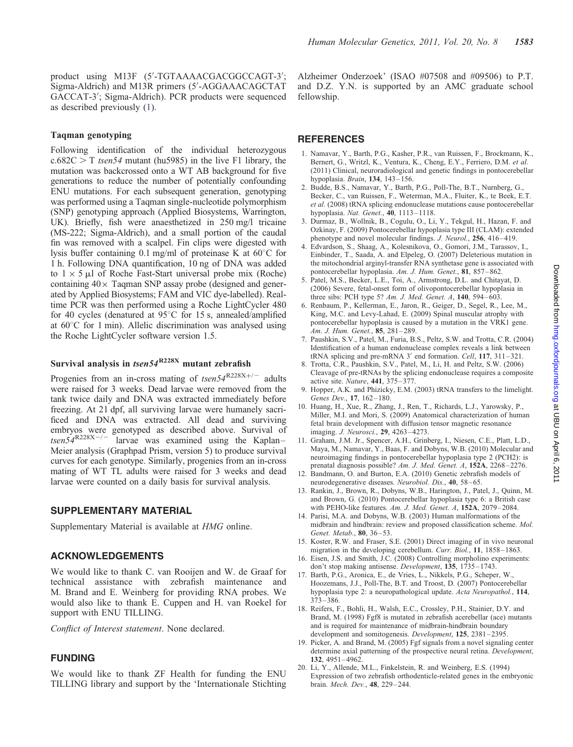#### <span id="page-9-0"></span>Taqman genotyping

Following identification of the individual heterozygous  $c.682C > T$  *tsen54* mutant (hu5985) in the live F1 library, the mutation was backcrossed onto a WT AB background for five generations to reduce the number of potentially confounding ENU mutations. For each subsequent generation, genotyping was performed using a Taqman single-nucleotide polymorphism (SNP) genotyping approach (Applied Biosystems, Warrington, UK). Briefly, fish were anaesthetized in 250 mg/l tricaine (MS-222; Sigma-Aldrich), and a small portion of the caudal fin was removed with a scalpel. Fin clips were digested with lysis buffer containing 0.1 mg/ml of proteinase K at  $60^{\circ}$ C for 1 h. Following DNA quantification, 10 ng of DNA was added to  $1 \times 5$  µl of Roche Fast-Start universal probe mix (Roche) containing  $40 \times$  Taqman SNP assay probe (designed and generated by Applied Biosystems; FAM and VIC dye-labelled). Realtime PCR was then performed using a Roche LightCycler 480 for 40 cycles (denatured at  $95^{\circ}$ C for 15 s, annealed/amplified at  $60^{\circ}$ C for 1 min). Allelic discrimination was analysed using the Roche LightCycler software version 1.5.

## Survival analysis in  $tsen54^{R228X}$  mutant zebrafish

Progenies from an in-cross mating of  $tsen54^{R228X+/-}$  adults were raised for 3 weeks. Dead larvae were removed from the tank twice daily and DNA was extracted immediately before freezing. At 21 dpf, all surviving larvae were humanely sacrificed and DNA was extracted. All dead and surviving embryos were genotyped as described above. Survival of  $t \sin 54^{\text{R228X} -/-}$  larvae was examined using the Kaplan– Meier analysis (Graphpad Prism, version 5) to produce survival curves for each genotype. Similarly, progenies from an in-cross mating of WT TL adults were raised for 3 weeks and dead larvae were counted on a daily basis for survival analysis.

#### SUPPLEMENTARY MATERIAL

[Supplementary Material is available at](http://hmg.oxfordjournals.org/cgi/content/full/ddr034/DC1) HMG online.

#### ACKNOWLEDGEMENTS

We would like to thank C. van Rooijen and W. de Graaf for technical assistance with zebrafish maintenance and M. Brand and E. Weinberg for providing RNA probes. We would also like to thank E. Cuppen and H. van Roekel for support with ENU TILLING.

Conflict of Interest statement. None declared.

## FUNDING

We would like to thank ZF Health for funding the ENU TILLING library and support by the 'Internationale Stichting Alzheimer Onderzoek' (ISAO #07508 and #09506) to P.T. and D.Z. Y.N. is supported by an AMC graduate school fellowship.

## **REFERENCES**

- 1. Namavar, Y., Barth, P.G., Kasher, P.R., van Ruissen, F., Brockmann, K., Bernert, G., Writzl, K., Ventura, K., Cheng, E.Y., Ferriero, D.M. et al. (2011) Clinical, neuroradiological and genetic findings in pontocerebellar hypoplasia. Brain, 134, 143-156.
- 2. Budde, B.S., Namavar, Y., Barth, P.G., Poll-The, B.T., Nurnberg, G., Becker, C., van Ruissen, F., Weterman, M.A., Fluiter, K., te Beek, E.T. et al. (2008) tRNA splicing endonuclease mutations cause pontocerebellar hypoplasia. Nat. Genet., 40, 1113–1118.
- 3. Durmaz, B., Wollnik, B., Cogulu, O., Li, Y., Tekgul, H., Hazan, F. and Ozkinay, F. (2009) Pontocerebellar hypoplasia type III (CLAM): extended phenotype and novel molecular findings. J. Neurol., 256, 416-419.
- 4. Edvardson, S., Shaag, A., Kolesnikova, O., Gomori, J.M., Tarassov, I., Einbinder, T., Saada, A. and Elpeleg, O. (2007) Deleterious mutation in the mitochondrial arginyl-transfer RNA synthetase gene is associated with pontocerebellar hypoplasia. Am. J. Hum. Genet., 81, 857–862.
- 5. Patel, M.S., Becker, L.E., Toi, A., Armstrong, D.L. and Chitayat, D. (2006) Severe, fetal-onset form of olivopontocerebellar hypoplasia in three sibs: PCH type 5? Am. J. Med. Genet. A, 140, 594–603.
- 6. Renbaum, P., Kellerman, E., Jaron, R., Geiger, D., Segel, R., Lee, M., King, M.C. and Levy-Lahad, E. (2009) Spinal muscular atrophy with pontocerebellar hypoplasia is caused by a mutation in the VRK1 gene. Am. J. Hum. Genet., 85, 281–289.
- 7. Paushkin, S.V., Patel, M., Furia, B.S., Peltz, S.W. and Trotta, C.R. (2004) Identification of a human endonuclease complex reveals a link between tRNA splicing and pre-mRNA 3′ end formation. Cell, 117, 311–321.
- 8. Trotta, C.R., Paushkin, S.V., Patel, M., Li, H. and Peltz, S.W. (2006) Cleavage of pre-tRNAs by the splicing endonuclease requires a composite active site. Nature, 441, 375–377.
- 9. Hopper, A.K. and Phizicky, E.M. (2003) tRNA transfers to the limelight. Genes Dev., 17, 162–180.
- 10. Huang, H., Xue, R., Zhang, J., Ren, T., Richards, L.J., Yarowsky, P., Miller, M.I. and Mori, S. (2009) Anatomical characterization of human fetal brain development with diffusion tensor magnetic resonance imaging. J. Neurosci., 29, 4263–4273.
- 11. Graham, J.M. Jr., Spencer, A.H., Grinberg, I., Niesen, C.E., Platt, L.D., Maya, M., Namavar, Y., Baas, F. and Dobyns, W.B. (2010) Molecular and neuroimaging findings in pontocerebellar hypoplasia type 2 (PCH2): is prenatal diagnosis possible? Am. J. Med. Genet. A, 152A, 2268–2276.
- 12. Bandmann, O. and Burton, E.A. (2010) Genetic zebrafish models of neurodegenerative diseases. Neurobiol. Dis., 40, 58-65.
- 13. Rankin, J., Brown, R., Dobyns, W.B., Harington, J., Patel, J., Quinn, M. and Brown, G. (2010) Pontocerebellar hypoplasia type 6: a British case with PEHO-like features. Am. J. Med. Genet. A, 152A, 2079-2084.
- 14. Parisi, M.A. and Dobyns, W.B. (2003) Human malformations of the midbrain and hindbrain: review and proposed classification scheme. Mol. Genet. Metab., 80, 36–53.
- 15. Koster, R.W. and Fraser, S.E. (2001) Direct imaging of in vivo neuronal migration in the developing cerebellum. Curr. Biol., 11, 1858–1863.
- 16. Eisen, J.S. and Smith, J.C. (2008) Controlling morpholino experiments: don't stop making antisense. Development, 135, 1735–1743.
- 17. Barth, P.G., Aronica, E., de Vries, L., Nikkels, P.G., Scheper, W., Hoozemans, J.J., Poll-The, B.T. and Troost, D. (2007) Pontocerebellar hypoplasia type 2: a neuropathological update. Acta Neuropathol., 114, 373–386.
- 18. Reifers, F., Bohli, H., Walsh, E.C., Crossley, P.H., Stainier, D.Y. and Brand, M. (1998) Fgf8 is mutated in zebrafish acerebellar (ace) mutants and is required for maintenance of midbrain-hindbrain boundary development and somitogenesis. Development, 125, 2381-2395.
- 19. Picker, A. and Brand, M. (2005) Fgf signals from a novel signaling center determine axial patterning of the prospective neural retina. Development, 132, 4951–4962.
- 20. Li, Y., Allende, M.L., Finkelstein, R. and Weinberg, E.S. (1994) Expression of two zebrafish orthodenticle-related genes in the embryonic brain. Mech. Dev., 48, 229–244.